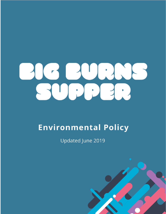

# **Environmental Policy**

Updated June 2019

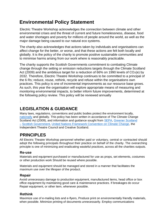# **Environmental Policy Statement**

Electric Theatre Workshop acknowledges the connection between climate and other environmental crises and the threat of current and future homelessness, disease, food and water shortages and poverty for millions of people around the world, as well as the major damage being caused to our natural eco systems.

The charity also acknowledges that actions taken by individuals and organisations can affect change for the better, or worse, and that these actions are felt both locally and globally. It is the policy of the charity to promote positive sustainable communities and to minimise harms arising from our work where is reasonably practicable.

The charity supports the Scottish Governments commitment to combating Climate change through the setting or emission reductions targets through the Climate Scotland Act (2009) and the ambitious target for a reduction of 66% on 1990 levels of  $CO<sub>2</sub>(e)$  by 2032. Therefore, Electric Theatre Workshop continues to be committed to a principal of the 6 Rs; reduce, reuse, rethink, recycle and refuse within the organisations own practices. This policy is one of incremental improvements as our resource base grows. As such, this year the organisation will explore appropriate means of measuring and monitoring environmental impacts, to better inform future improvements, determined at the following policy review. This policy will be reviewed annually

# **LEGISLATION & GUIDANCE**

Many laws, regulations, conventions and public bodies protect the environment locally, nationally and globally. This policy has been written in accordance of The Climate Change Scotland Act (2009), and information and guidance sought from SEPA, Greener Scotland – Scottish Government, United Nations Framework Convention on Climate Change, the Independent Theatre Council and Creative Scotland.

# **PRINCIPLES**

All Electric Theatre Workshop personnel whether paid or voluntary, central or contracted should adopt the following principals throughout their practice on behalf of the charity. The overarching principle is one of minimizing and eradicating wasteful practices, across all the charities outputs.

## **Re-use**

.

Materials and equipment purchased or manufactured for use as props, set elements, costumes or other production work Should be reused where possible.

Materials and equipment should be managed and stored in a manner that facilitates the maximum use over the lifespan of the product.

## **Repair**

Avoid unnecessary damage to production equipment, manufactured items, head office or box office equipment by maintaining good care & maintenance practices. If breakages do occur Repair equipment, or other item, whenever possible.

## **Rethink**

Maximize use of e-mailing lists and e-flyers, Produce print on environmentally friendly materials, when possible. Minimize printing of documents unnecessarily. Employ communications